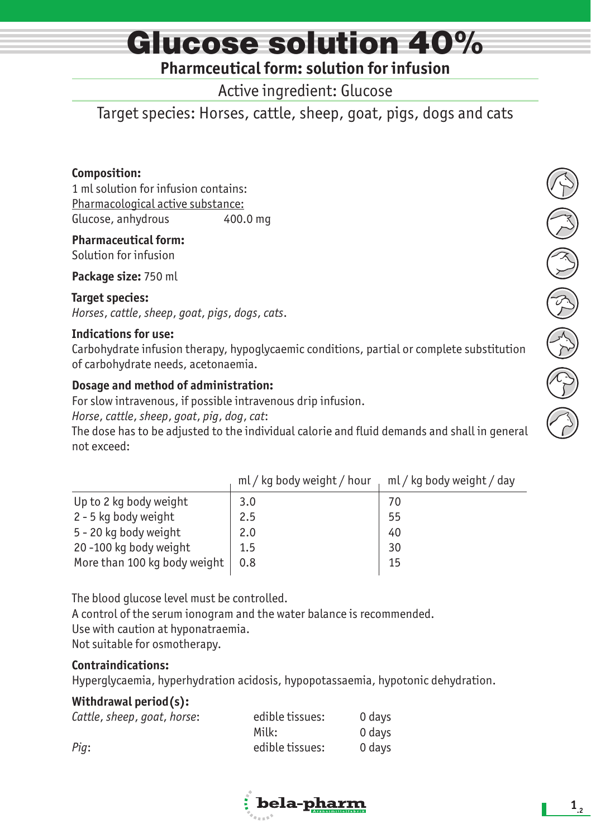# Glucose solution 40%

### **Pharmceutical form: solution for infusion**

Active ingredient: Glucose

Target species: Horses, cattle, sheep, goat, pigs, dogs and cats

#### **Composition:**

1 ml solution for infusion contains: Pharmacological active substance: Glucose, anhydrous 400.0 mg

**Pharmaceutical form:** Solution for infusion

**Package size:** 750 ml

#### **Target species:**

*Horses*, *cattle*, *sheep*, *goat*, *pigs*, *dogs*, *cats*.

#### **Indications for use:**

Carbohydrate infusion therapy, hypoglycaemic conditions, partial or complete substitution of carbohydrate needs, acetonaemia.

#### **Dosage and method of administration:**

For slow intravenous, if possible intravenous drip infusion.

*Horse*, *cattle*, *sheep*, *goat*, *pig*, *dog*, *cat*:

The dose has to be adjusted to the individual calorie and fluid demands and shall in general not exceed:

|                              | ml/kg body weight/hour | ml / kg body weight / day |
|------------------------------|------------------------|---------------------------|
| Up to 2 kg body weight       | 3.0                    | 70                        |
| 2 - 5 kg body weight         | 2.5                    | 55                        |
| 5 - 20 kg body weight        | 2.0                    | 40                        |
| 20-100 kg body weight        | 1.5                    | 30                        |
| More than 100 kg body weight | 0.8                    | 15                        |
|                              |                        |                           |

The blood glucose level must be controlled.

A control of the serum ionogram and the water balance is recommended. Use with caution at hyponatraemia. Not suitable for osmotherapy.

#### **Contraindications:**

Hyperglycaemia, hyperhydration acidosis, hypopotassaemia, hypotonic dehydration.

#### **Withdrawal period(s):**

| Cattle, sheep, goat, horse: | edible tissues: | 0 davs |
|-----------------------------|-----------------|--------|
|                             | Milk:           | 0 days |
| Pig:                        | edible tissues: | 0 davs |

 $\vdots$  bela-pharm